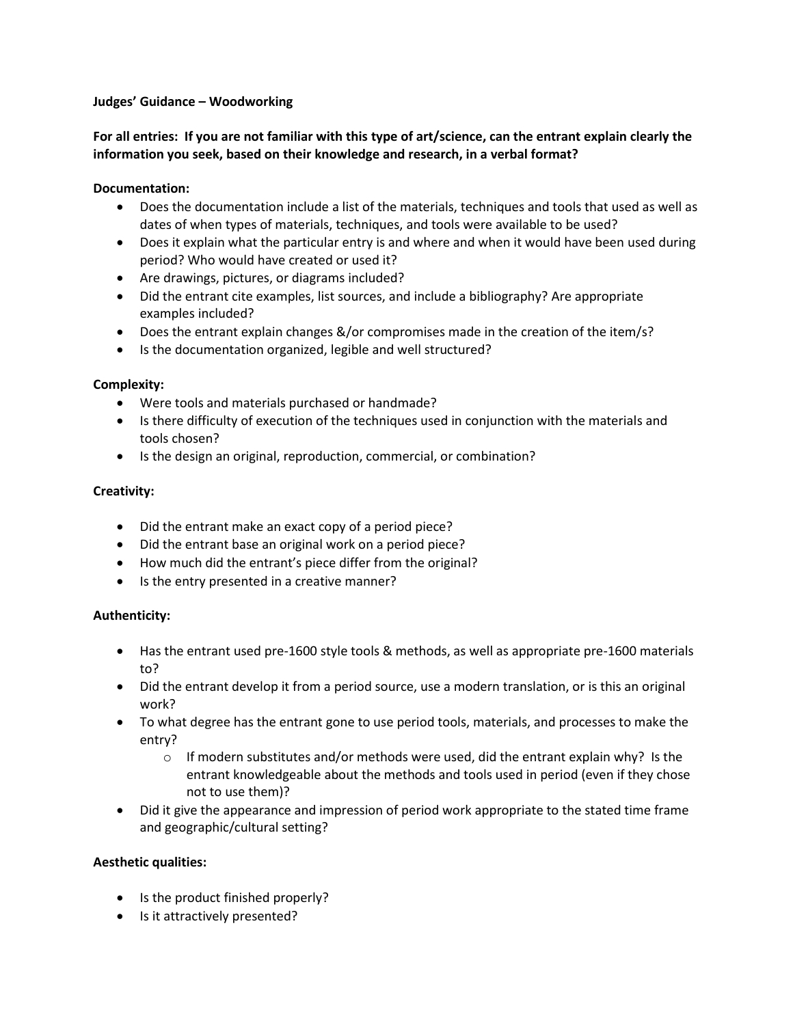#### **Judges' Guidance – Woodworking**

# **For all entries: If you are not familiar with this type of art/science, can the entrant explain clearly the information you seek, based on their knowledge and research, in a verbal format?**

### **Documentation:**

- Does the documentation include a list of the materials, techniques and tools that used as well as dates of when types of materials, techniques, and tools were available to be used?
- Does it explain what the particular entry is and where and when it would have been used during period? Who would have created or used it?
- Are drawings, pictures, or diagrams included?
- Did the entrant cite examples, list sources, and include a bibliography? Are appropriate examples included?
- Does the entrant explain changes &/or compromises made in the creation of the item/s?
- Is the documentation organized, legible and well structured?

### **Complexity:**

- Were tools and materials purchased or handmade?
- Is there difficulty of execution of the techniques used in conjunction with the materials and tools chosen?
- Is the design an original, reproduction, commercial, or combination?

### **Creativity:**

- Did the entrant make an exact copy of a period piece?
- Did the entrant base an original work on a period piece?
- How much did the entrant's piece differ from the original?
- Is the entry presented in a creative manner?

# **Authenticity:**

- Has the entrant used pre-1600 style tools & methods, as well as appropriate pre-1600 materials to?
- Did the entrant develop it from a period source, use a modern translation, or is this an original work?
- To what degree has the entrant gone to use period tools, materials, and processes to make the entry?
	- $\circ$  If modern substitutes and/or methods were used, did the entrant explain why? Is the entrant knowledgeable about the methods and tools used in period (even if they chose not to use them)?
- Did it give the appearance and impression of period work appropriate to the stated time frame and geographic/cultural setting?

# **Aesthetic qualities:**

- Is the product finished properly?
- Is it attractively presented?